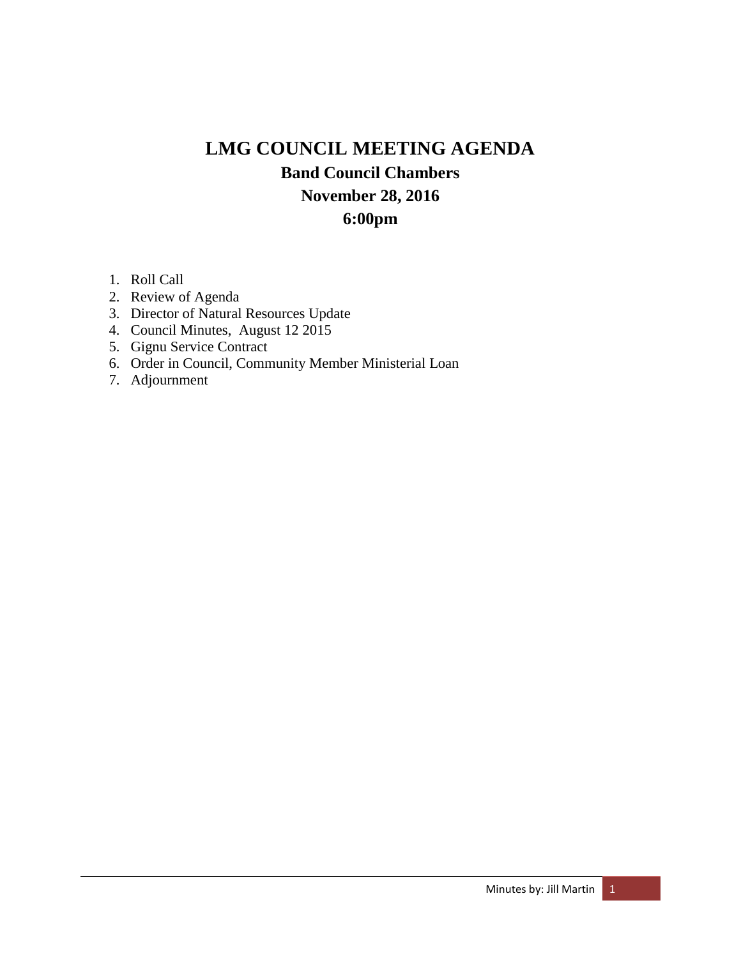# **LMG COUNCIL MEETING AGENDA Band Council Chambers November 28, 2016 6:00pm**

- 1. Roll Call
- 2. Review of Agenda
- 3. Director of Natural Resources Update
- 4. Council Minutes, August 12 2015
- 5. Gignu Service Contract
- 6. Order in Council, Community Member Ministerial Loan
- 7. Adjournment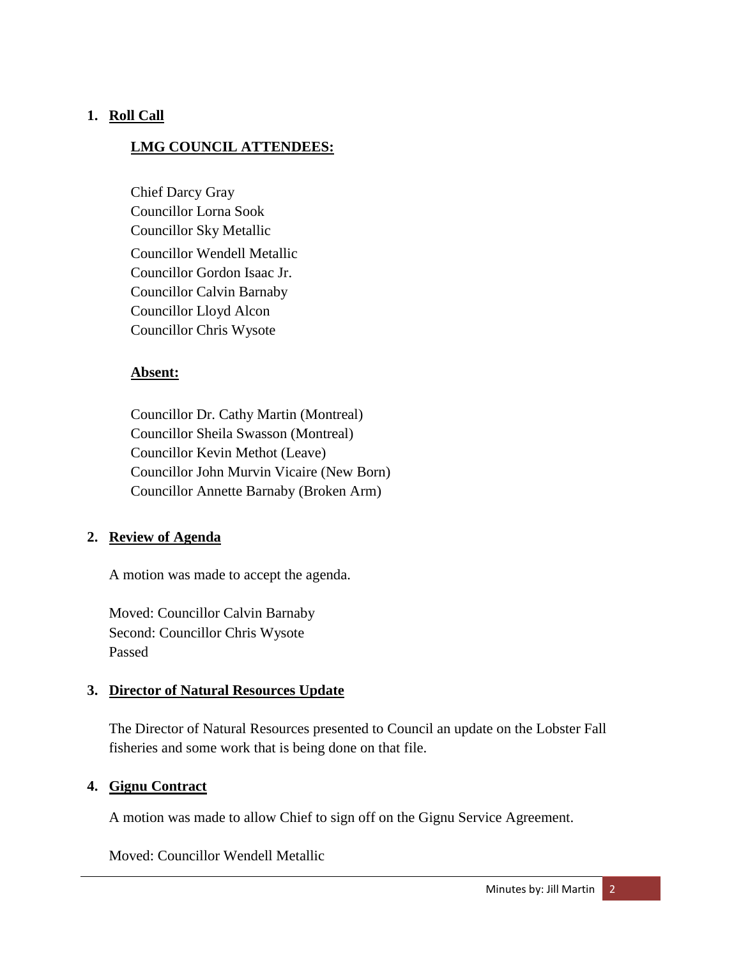# **1. Roll Call**

## **LMG COUNCIL ATTENDEES:**

Chief Darcy Gray Councillor Lorna Sook Councillor Sky Metallic Councillor Wendell Metallic Councillor Gordon Isaac Jr. Councillor Calvin Barnaby Councillor Lloyd Alcon Councillor Chris Wysote

#### **Absent:**

Councillor Dr. Cathy Martin (Montreal) Councillor Sheila Swasson (Montreal) Councillor Kevin Methot (Leave) Councillor John Murvin Vicaire (New Born) Councillor Annette Barnaby (Broken Arm)

#### **2. Review of Agenda**

A motion was made to accept the agenda.

Moved: Councillor Calvin Barnaby Second: Councillor Chris Wysote Passed

#### **3. Director of Natural Resources Update**

The Director of Natural Resources presented to Council an update on the Lobster Fall fisheries and some work that is being done on that file.

#### **4. Gignu Contract**

A motion was made to allow Chief to sign off on the Gignu Service Agreement.

Moved: Councillor Wendell Metallic